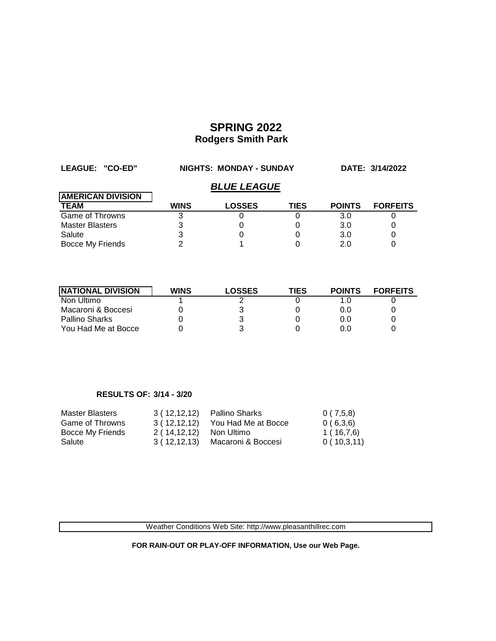| LEAGUE: "CO-ED"          | <b>NIGHTS: MONDAY - SUNDAY</b> |               |             | DATE: 3/14/2022 |                 |  |  |
|--------------------------|--------------------------------|---------------|-------------|-----------------|-----------------|--|--|
|                          | <b>BLUE LEAGUE</b>             |               |             |                 |                 |  |  |
| <b>AMERICAN DIVISION</b> |                                |               |             |                 |                 |  |  |
| <b>TEAM</b>              | <b>WINS</b>                    | <b>LOSSES</b> | <b>TIES</b> | <b>POINTS</b>   | <b>FORFEITS</b> |  |  |
| <b>Game of Throwns</b>   |                                |               |             | 3.0             |                 |  |  |
| <b>Master Blasters</b>   |                                |               |             | 3.0             |                 |  |  |
| Salute                   |                                |               |             | 3.0             |                 |  |  |
| Bocce My Friends         |                                |               |             | 2.0             |                 |  |  |

| <b>INATIONAL DIVISION</b> | <b>WINS</b> | <b>LOSSES</b> | TIES | <b>POINTS</b> | <b>FORFEITS</b> |
|---------------------------|-------------|---------------|------|---------------|-----------------|
| Non Ultimo                |             |               |      |               |                 |
| Macaroni & Boccesi        |             |               |      | 0.0           |                 |
| Pallino Sharks            |             |               |      | 0.0           |                 |
| You Had Me at Bocce       |             |               |      | 0.0           |                 |

### **RESULTS OF: 3/14 - 3/20**

| Master Blasters  | 3(12,12,12)   | Pallino Sharks      | 0(7,5,8)    |
|------------------|---------------|---------------------|-------------|
| Game of Throwns  | 3(12,12,12)   | You Had Me at Bocce | 0(6,3,6)    |
| Bocce My Friends | 2 ( 14,12,12) | Non Ultimo          | 1 ( 16,7,6) |
| Salute           | 3 ( 12,12,13) | Macaroni & Boccesi  | 0(10,3,11)  |

Weather Conditions Web Site: http://www.pleasanthillrec.com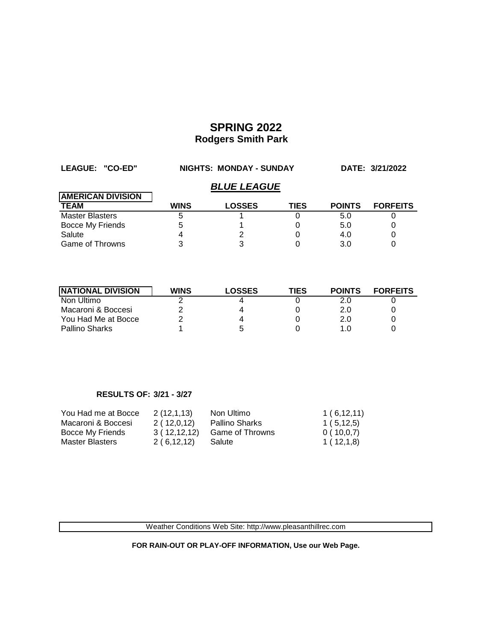| LEAGUE: "CO-ED"          | <b>NIGHTS: MONDAY - SUNDAY</b> |               |             | DATE: 3/21/2022 |                 |  |  |  |
|--------------------------|--------------------------------|---------------|-------------|-----------------|-----------------|--|--|--|
|                          | <b>BLUE LEAGUE</b>             |               |             |                 |                 |  |  |  |
| <b>AMERICAN DIVISION</b> |                                |               |             |                 |                 |  |  |  |
| <b>TEAM</b>              | <b>WINS</b>                    | <b>LOSSES</b> | <b>TIES</b> | <b>POINTS</b>   | <b>FORFEITS</b> |  |  |  |
| <b>Master Blasters</b>   | b                              |               |             | 5.0             |                 |  |  |  |
| Bocce My Friends         |                                |               |             | 5.0             |                 |  |  |  |
| Salute                   |                                |               |             | 4.0             |                 |  |  |  |
| <b>Game of Throwns</b>   |                                |               |             | 3.0             |                 |  |  |  |

| <b>INATIONAL DIVISION</b> | <b>WINS</b> | <b>LOSSES</b> | TIES | <b>POINTS</b> | <b>FORFEITS</b> |
|---------------------------|-------------|---------------|------|---------------|-----------------|
| Non Ultimo                |             |               |      |               |                 |
| Macaroni & Boccesi        |             | Δ             |      | 2.0           |                 |
| You Had Me at Bocce       |             | Δ             |      | 2.0           |                 |
| Pallino Sharks            |             | :5            |      | 1.0           |                 |

### **RESULTS OF: 3/21 - 3/27**

| You Had me at Bocce    | 2(12,1,13)  | Non Ultimo      | 1(6,12,11) |
|------------------------|-------------|-----------------|------------|
| Macaroni & Boccesi     | 2(12,0,12)  | Pallino Sharks  | 1(5, 12.5) |
| Bocce My Friends       | 3(12,12,12) | Game of Throwns | 0(10,0.7)  |
| <b>Master Blasters</b> | 2(6,12,12)  | Salute          | 1(12,1,8)  |

Weather Conditions Web Site: http://www.pleasanthillrec.com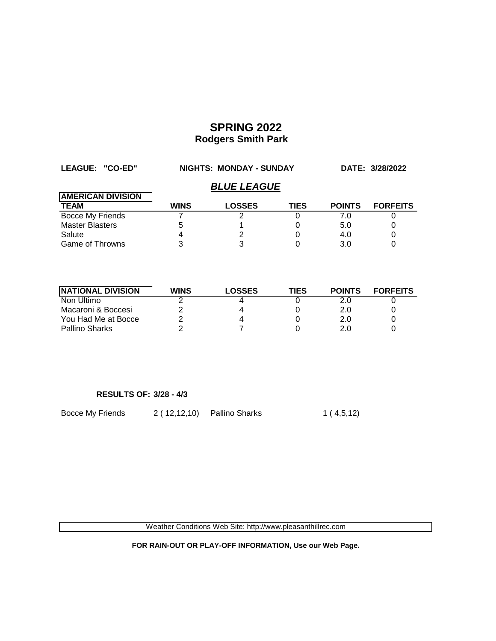| LEAGUE: "CO-ED"          | <b>NIGHTS: MONDAY - SUNDAY</b> |               |             | DATE: 3/28/2022 |                 |  |  |
|--------------------------|--------------------------------|---------------|-------------|-----------------|-----------------|--|--|
|                          | <b>BLUE LEAGUE</b>             |               |             |                 |                 |  |  |
| <b>AMERICAN DIVISION</b> |                                |               |             |                 |                 |  |  |
| <b>TEAM</b>              | <b>WINS</b>                    | <b>LOSSES</b> | <b>TIES</b> | <b>POINTS</b>   | <b>FORFEITS</b> |  |  |
| <b>Bocce My Friends</b>  |                                |               |             | 7.0             |                 |  |  |
| <b>Master Blasters</b>   |                                |               |             | 5.0             |                 |  |  |
| Salute                   |                                |               |             | 4.0             |                 |  |  |
| <b>Game of Throwns</b>   |                                |               |             | 3.0             |                 |  |  |

| <b>INATIONAL DIVISION</b> | WINS | <b>LOSSES</b> | TIES | <b>POINTS</b> | <b>FORFEITS</b> |
|---------------------------|------|---------------|------|---------------|-----------------|
| Non Ultimo                |      | 4             |      |               |                 |
| Macaroni & Boccesi        |      | 4             |      | 2.0           |                 |
| You Had Me at Bocce       |      | 4             |      | 2.0           |                 |
| Pallino Sharks            |      |               |      | 2.0           |                 |

#### **RESULTS OF: 3/28 - 4/3**

Bocce My Friends 2 ( 12,12,10) Pallino Sharks 1 ( 4,5,12)

Weather Conditions Web Site: http://www.pleasanthillrec.com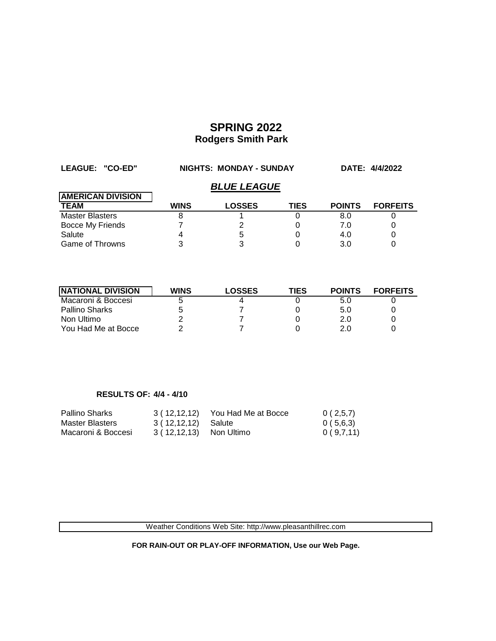| LEAGUE: "CO-ED"          | NIGHTS: MONDAY - SUNDAY |                    |             |               | DATE: 4/4/2022  |
|--------------------------|-------------------------|--------------------|-------------|---------------|-----------------|
|                          |                         | <b>BLUE LEAGUE</b> |             |               |                 |
| <b>AMERICAN DIVISION</b> |                         |                    |             |               |                 |
| <b>TEAM</b>              | <b>WINS</b>             | <b>LOSSES</b>      | <b>TIES</b> | <b>POINTS</b> | <b>FORFEITS</b> |
| <b>Master Blasters</b>   |                         |                    |             | 8.0           |                 |
| <b>Bocce My Friends</b>  |                         | 2                  |             | 7.0           |                 |
| Salute                   |                         | 5                  |             | 4.0           |                 |
| Game of Throwns          |                         |                    |             | 3.0           |                 |

| <b>NATIONAL DIVISION</b> | <b>WINS</b> | <b>LOSSES</b> | TIES | <b>POINTS</b> | <b>FORFEITS</b> |
|--------------------------|-------------|---------------|------|---------------|-----------------|
| Macaroni & Boccesi       |             |               |      | 5.0           |                 |
| Pallino Sharks           |             |               |      | 5.0           |                 |
| Non Ultimo               |             |               |      | 2.0           |                 |
| You Had Me at Bocce      |             |               |      | 2.0           |                 |

#### **RESULTS OF: 4/4 - 4/10**

| <b>Pallino Sharks</b> | 3(12,12,12)              | You Had Me at Bocce | 0(2,5,7)  |
|-----------------------|--------------------------|---------------------|-----------|
| Master Blasters       | 3 ( 12,12,12) Salute     |                     | 0(5,6,3)  |
| Macaroni & Boccesi    | 3 ( 12,12,13) Non Ultimo |                     | 0(9,7,11) |

Weather Conditions Web Site: http://www.pleasanthillrec.com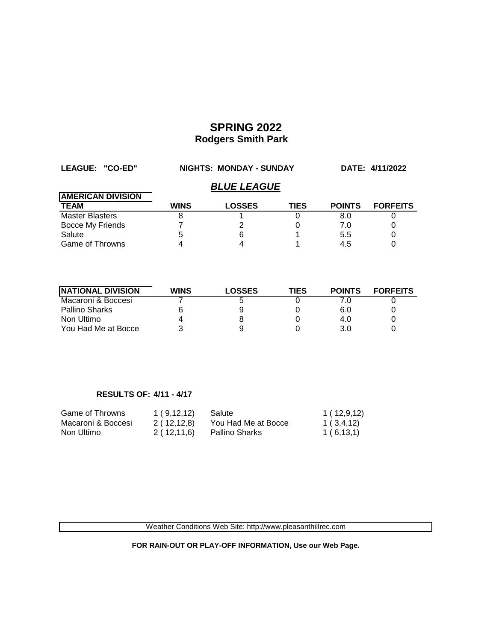| LEAGUE: "CO-ED"          | <b>NIGHTS: MONDAY - SUNDAY</b> |                    |      | DATE: 4/11/2022 |                 |
|--------------------------|--------------------------------|--------------------|------|-----------------|-----------------|
|                          |                                | <b>BLUE LEAGUE</b> |      |                 |                 |
| <b>AMERICAN DIVISION</b> |                                |                    |      |                 |                 |
| <b>TEAM</b>              | <b>WINS</b>                    | <b>LOSSES</b>      | TIES | <b>POINTS</b>   | <b>FORFEITS</b> |
| <b>Master Blasters</b>   |                                |                    |      | 8.0             |                 |
| Bocce My Friends         |                                | 2                  |      | 7.0             |                 |
| Salute                   |                                | 6                  |      | 5.5             |                 |
| <b>Game of Throwns</b>   |                                |                    |      | 4.5             |                 |

| <b>INATIONAL DIVISION</b> | <b>WINS</b> | <b>LOSSES</b> | TIES | <b>POINTS</b> | <b>FORFEITS</b> |
|---------------------------|-------------|---------------|------|---------------|-----------------|
| Macaroni & Boccesi        |             | G             |      |               |                 |
| <b>Pallino Sharks</b>     |             |               |      | 6.0           |                 |
| Non Ultimo                |             |               |      | 4.0           |                 |
| You Had Me at Bocce       |             |               |      | 3.0           |                 |

### **RESULTS OF: 4/11 - 4/17**

| Game of Throwns    | 1(9,12,12)   | Salute              | 1(12,9,12)  |
|--------------------|--------------|---------------------|-------------|
| Macaroni & Boccesi | 2 ( 12,12,8) | You Had Me at Bocce | 1 ( 3,4,12) |
| Non Ultimo         | 2(12,11,6)   | Pallino Sharks      | 1(6,13,1)   |

Weather Conditions Web Site: http://www.pleasanthillrec.com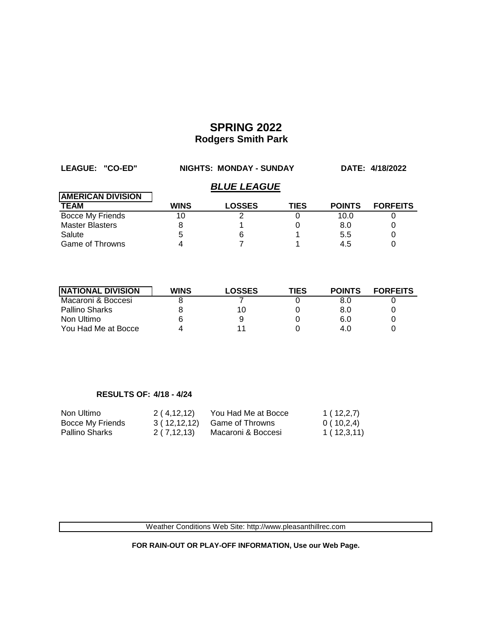| LEAGUE: "CO-ED"          | <b>NIGHTS: MONDAY - SUNDAY</b> |                    |             | DATE: 4/18/2022 |                 |
|--------------------------|--------------------------------|--------------------|-------------|-----------------|-----------------|
|                          |                                | <b>BLUE LEAGUE</b> |             |                 |                 |
| <b>AMERICAN DIVISION</b> |                                |                    |             |                 |                 |
| <b>TEAM</b>              | <b>WINS</b>                    | <b>LOSSES</b>      | <b>TIES</b> | <b>POINTS</b>   | <b>FORFEITS</b> |
| Bocce My Friends         | 10                             |                    |             | 10.0            |                 |
| <b>Master Blasters</b>   |                                |                    |             | 8.0             |                 |
| Salute                   | 5                              | 6                  |             | 5.5             | 0               |
| <b>Game of Throwns</b>   |                                |                    |             | 4.5             |                 |

| <b>INATIONAL DIVISION</b> | <b>WINS</b> | <b>LOSSES</b> | <b>TIES</b> | <b>POINTS</b> | <b>FORFEITS</b> |
|---------------------------|-------------|---------------|-------------|---------------|-----------------|
| Macaroni & Boccesi        |             |               |             | 8.0           |                 |
| Pallino Sharks            |             | 10            |             | 8.0           |                 |
| Non Ultimo                |             | 9             |             | 6.0           |                 |
| You Had Me at Bocce       |             |               |             | 4.0           |                 |

### **RESULTS OF: 4/18 - 4/24**

| Non Ultimo       | 2(4,12,12)   | You Had Me at Bocce | 1(12,2,7)  |
|------------------|--------------|---------------------|------------|
| Bocce My Friends | 3(12,12,12)  | Game of Throwns     | 0(10,2,4)  |
| Pallino Sharks   | 2 ( 7,12,13) | Macaroni & Boccesi  | 1(12,3,11) |

Weather Conditions Web Site: http://www.pleasanthillrec.com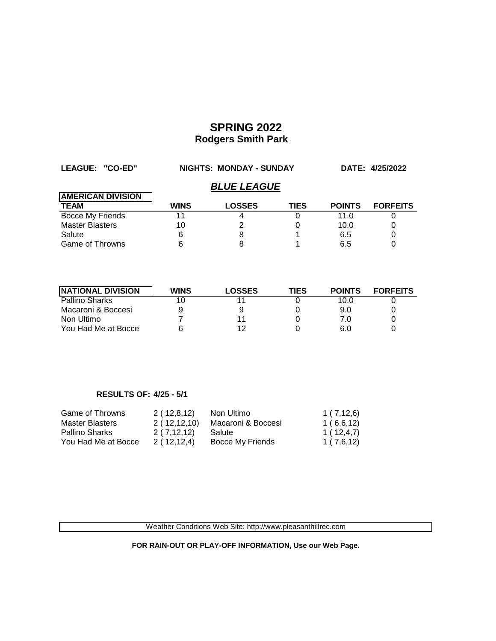| LEAGUE: "CO-ED"          | <b>NIGHTS: MONDAY - SUNDAY</b> |                    |             | DATE: 4/25/2022 |                 |
|--------------------------|--------------------------------|--------------------|-------------|-----------------|-----------------|
|                          |                                | <b>BLUE LEAGUE</b> |             |                 |                 |
| <b>AMERICAN DIVISION</b> |                                |                    |             |                 |                 |
| <b>TEAM</b>              | <b>WINS</b>                    | <b>LOSSES</b>      | <b>TIES</b> | <b>POINTS</b>   | <b>FORFEITS</b> |
| Bocce My Friends         |                                |                    |             | 11.0            |                 |
| <b>Master Blasters</b>   | 10                             |                    |             | 10.0            |                 |
| Salute                   |                                |                    |             | 6.5             | 0               |
| <b>Game of Throwns</b>   |                                |                    |             | 6.5             |                 |

| <b>INATIONAL DIVISION</b> | <b>WINS</b> | <b>LOSSES</b> | TIES | <b>POINTS</b> | <b>FORFEITS</b> |
|---------------------------|-------------|---------------|------|---------------|-----------------|
| <b>Pallino Sharks</b>     |             |               |      | 10.0          |                 |
| Macaroni & Boccesi        |             | 9             |      | 9.0           |                 |
| Non Ultimo                |             | 11            |      | 7.0           |                 |
| You Had Me at Bocce       |             | ィク            |      | 6.0           |                 |

### **RESULTS OF: 4/25 - 5/1**

| Game of Throwns        | 2(12,8,12)   | Non Ultimo         | 1(7,12,6) |
|------------------------|--------------|--------------------|-----------|
| <b>Master Blasters</b> | 2(12,12,10)  | Macaroni & Boccesi | 1(6,6,12) |
| <b>Pallino Sharks</b>  | 2 ( 7,12,12) | Salute             | 1(12,4,7) |
| You Had Me at Bocce    | 2(12,12,4)   | Bocce My Friends   | 1(7,6,12) |

Weather Conditions Web Site: http://www.pleasanthillrec.com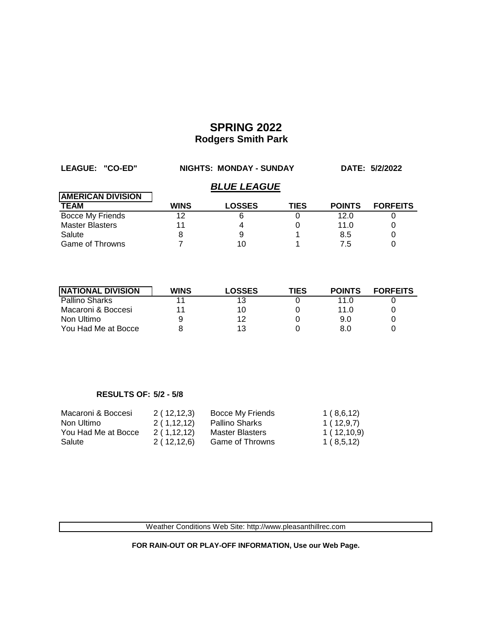| LEAGUE: "CO-ED"          | NIGHTS: MONDAY - SUNDAY |               |             |               | DATE: 5/2/2022  |  |  |
|--------------------------|-------------------------|---------------|-------------|---------------|-----------------|--|--|
|                          | <b>BLUE LEAGUE</b>      |               |             |               |                 |  |  |
| <b>AMERICAN DIVISION</b> |                         |               |             |               |                 |  |  |
| <b>TEAM</b>              | <b>WINS</b>             | <b>LOSSES</b> | <b>TIES</b> | <b>POINTS</b> | <b>FORFEITS</b> |  |  |
| <b>Bocce My Friends</b>  | 12                      | 6             |             | 12.0          |                 |  |  |
| <b>Master Blasters</b>   | 11                      |               |             | 11.0          |                 |  |  |
| Salute                   | 8                       | 9             |             | 8.5           |                 |  |  |
| Game of Throwns          |                         |               |             | 7.5           |                 |  |  |

| <b>INATIONAL DIVISION</b> | <b>WINS</b> | <b>LOSSES</b> | TIES | <b>POINTS</b> | <b>FORFEITS</b> |
|---------------------------|-------------|---------------|------|---------------|-----------------|
| <b>Pallino Sharks</b>     |             | 13            |      | 11.0          |                 |
| Macaroni & Boccesi        | 11          | 10            |      | 11.0          |                 |
| Non Ultimo                |             | 12            |      | 9.0           |                 |
| You Had Me at Bocce       |             | 13            |      | 8.0           |                 |

#### **RESULTS OF: 5/2 - 5/8**

| Macaroni & Boccesi  | 2(12,12,3)   | Bocce My Friends       | 1(8,6,12)  |
|---------------------|--------------|------------------------|------------|
| Non Ultimo          | 2(1,12,12)   | Pallino Sharks         | 1(12,9,7)  |
| You Had Me at Bocce | 2(1,12,12)   | <b>Master Blasters</b> | 1(12,10,9) |
| Salute              | 2 ( 12,12,6) | Game of Throwns        | 1(8,5,12)  |

Weather Conditions Web Site: http://www.pleasanthillrec.com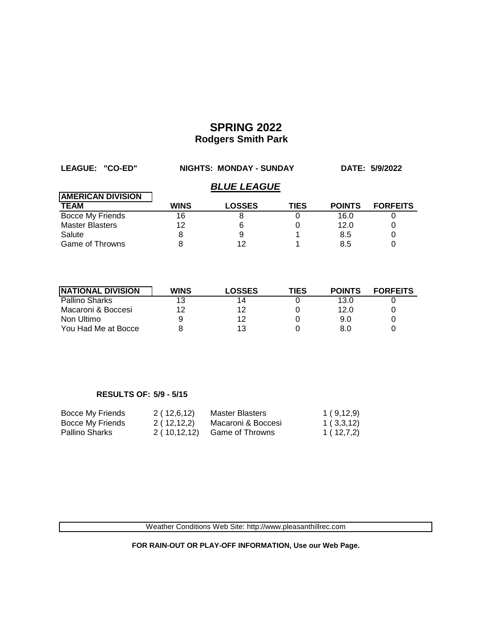| LEAGUE: "CO-ED"          | NIGHTS: MONDAY - SUNDAY |               |             |               | DATE: 5/9/2022  |  |  |
|--------------------------|-------------------------|---------------|-------------|---------------|-----------------|--|--|
|                          | <b>BLUE LEAGUE</b>      |               |             |               |                 |  |  |
| <b>AMERICAN DIVISION</b> |                         |               |             |               |                 |  |  |
| <b>TEAM</b>              | <b>WINS</b>             | <b>LOSSES</b> | <b>TIES</b> | <b>POINTS</b> | <b>FORFEITS</b> |  |  |
| Bocce My Friends         | 16                      |               |             | 16.0          |                 |  |  |
| <b>Master Blasters</b>   | 12                      | 6             |             | 12.0          |                 |  |  |
| Salute                   |                         | 9             |             | 8.5           | 0               |  |  |
| <b>Game of Throwns</b>   |                         | 12            |             | 8.5           |                 |  |  |

| <b>INATIONAL DIVISION</b> | <b>WINS</b> | <b>LOSSES</b> | TIES | <b>POINTS</b> | <b>FORFEITS</b> |
|---------------------------|-------------|---------------|------|---------------|-----------------|
| <b>Pallino Sharks</b>     | 13          | 14            |      | 13.0          |                 |
| Macaroni & Boccesi        | 12          | 12            |      | 12.0          |                 |
| Non Ultimo                |             | 12            |      | 9.0           |                 |
| You Had Me at Bocce       |             | 13            |      | 8.0           |                 |

### **RESULTS OF: 5/9 - 5/15**

| Bocce My Friends | 2 ( 12,6,12) | Master Blasters    | 1(9,12,9) |
|------------------|--------------|--------------------|-----------|
| Bocce My Friends | 2 ( 12,12,2) | Macaroni & Boccesi | 1(3,3,12) |
| Pallino Sharks   | 2(10,12,12)  | Game of Throwns    | 1(12,7,2) |

Weather Conditions Web Site: http://www.pleasanthillrec.com